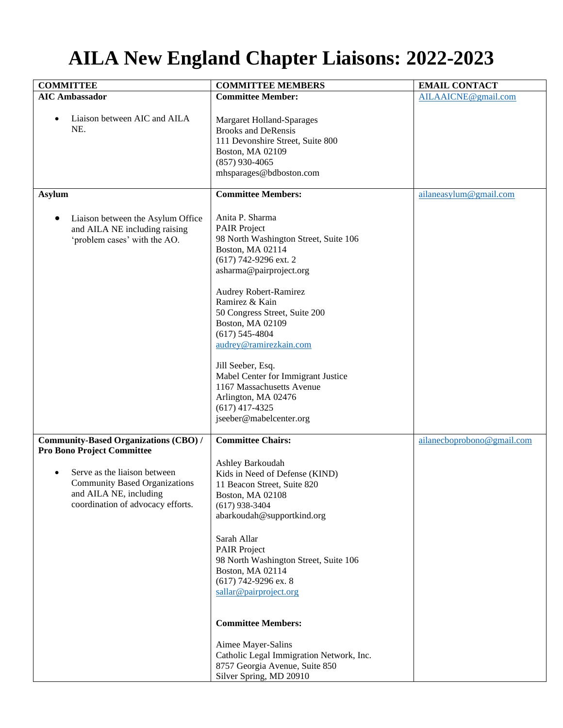## **AILA New England Chapter Liaisons: 2022-2023**

| <b>COMMITTEE</b>                                                                                                                                                                                                                      | <b>COMMITTEE MEMBERS</b>                                                                                                                                                                                                                                                                                                                                                                                                                                                                               | <b>EMAIL CONTACT</b>       |
|---------------------------------------------------------------------------------------------------------------------------------------------------------------------------------------------------------------------------------------|--------------------------------------------------------------------------------------------------------------------------------------------------------------------------------------------------------------------------------------------------------------------------------------------------------------------------------------------------------------------------------------------------------------------------------------------------------------------------------------------------------|----------------------------|
| <b>AIC Ambassador</b>                                                                                                                                                                                                                 | <b>Committee Member:</b>                                                                                                                                                                                                                                                                                                                                                                                                                                                                               | AILAAICNE@gmail.com        |
| Liaison between AIC and AILA<br>$\bullet$<br>NE.                                                                                                                                                                                      | <b>Margaret Holland-Sparages</b><br><b>Brooks and DeRensis</b><br>111 Devonshire Street, Suite 800<br>Boston, MA 02109<br>$(857)$ 930-4065<br>mhsparages@bdboston.com                                                                                                                                                                                                                                                                                                                                  |                            |
| <b>Asylum</b>                                                                                                                                                                                                                         | <b>Committee Members:</b>                                                                                                                                                                                                                                                                                                                                                                                                                                                                              | ailaneasylum@gmail.com     |
| Liaison between the Asylum Office<br>$\bullet$<br>and AILA NE including raising<br>'problem cases' with the AO.                                                                                                                       | Anita P. Sharma<br><b>PAIR Project</b><br>98 North Washington Street, Suite 106<br>Boston, MA 02114<br>(617) 742-9296 ext. 2<br>asharma@pairproject.org<br>Audrey Robert-Ramirez<br>Ramirez & Kain<br>50 Congress Street, Suite 200<br>Boston, MA 02109<br>$(617)$ 545-4804<br>audrey@ramirezkain.com<br>Jill Seeber, Esq.<br>Mabel Center for Immigrant Justice<br>1167 Massachusetts Avenue<br>Arlington, MA 02476<br>$(617)$ 417-4325                                                               |                            |
|                                                                                                                                                                                                                                       | jseeber@mabelcenter.org                                                                                                                                                                                                                                                                                                                                                                                                                                                                                |                            |
| <b>Community-Based Organizations (CBO) /</b><br><b>Pro Bono Project Committee</b><br>Serve as the liaison between<br>$\bullet$<br><b>Community Based Organizations</b><br>and AILA NE, including<br>coordination of advocacy efforts. | <b>Committee Chairs:</b><br>Ashley Barkoudah<br>Kids in Need of Defense (KIND)<br>11 Beacon Street, Suite 820<br>Boston, MA 02108<br>$(617)$ 938-3404<br>abarkoudah@supportkind.org<br>Sarah Allar<br><b>PAIR Project</b><br>98 North Washington Street, Suite 106<br>Boston, MA 02114<br>$(617)$ 742-9296 ex. 8<br>sallar@pairproject.org<br><b>Committee Members:</b><br>Aimee Mayer-Salins<br>Catholic Legal Immigration Network, Inc.<br>8757 Georgia Avenue, Suite 850<br>Silver Spring, MD 20910 | ailanecboprobono@gmail.com |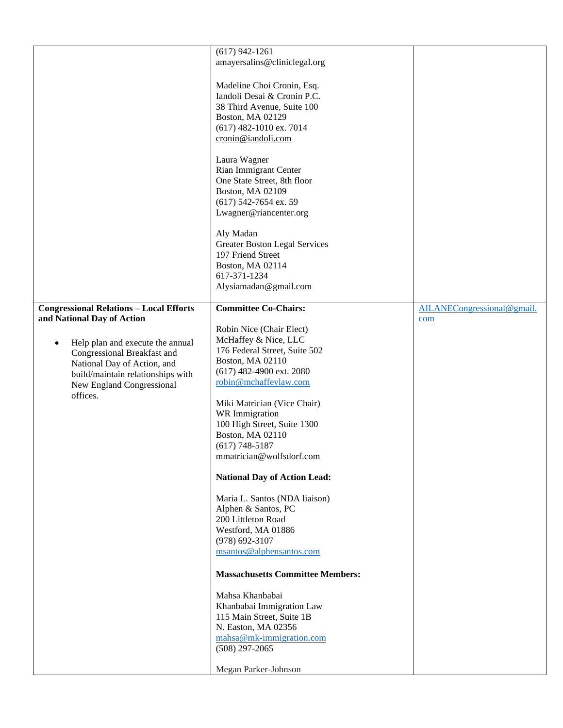|                                                                                                                                                                                                                                                                           | $(617)$ 942-1261<br>amayersalins@cliniclegal.org<br>Madeline Choi Cronin, Esq.<br>Iandoli Desai & Cronin P.C.<br>38 Third Avenue, Suite 100<br>Boston, MA 02129<br>$(617)$ 482-1010 ex. 7014<br>cronin@iandoli.com<br>Laura Wagner<br>Rian Immigrant Center<br>One State Street, 8th floor<br>Boston, MA 02109<br>(617) 542-7654 ex. 59<br>Lwagner@riancenter.org<br>Aly Madan<br><b>Greater Boston Legal Services</b><br>197 Friend Street<br>Boston, MA 02114<br>617-371-1234<br>Alysiamadan@gmail.com                                                                                                                                                                                                                                  |                                   |
|---------------------------------------------------------------------------------------------------------------------------------------------------------------------------------------------------------------------------------------------------------------------------|-------------------------------------------------------------------------------------------------------------------------------------------------------------------------------------------------------------------------------------------------------------------------------------------------------------------------------------------------------------------------------------------------------------------------------------------------------------------------------------------------------------------------------------------------------------------------------------------------------------------------------------------------------------------------------------------------------------------------------------------|-----------------------------------|
| <b>Congressional Relations - Local Efforts</b><br>and National Day of Action<br>Help plan and execute the annual<br>$\bullet$<br>Congressional Breakfast and<br>National Day of Action, and<br>build/maintain relationships with<br>New England Congressional<br>offices. | <b>Committee Co-Chairs:</b><br>Robin Nice (Chair Elect)<br>McHaffey & Nice, LLC<br>176 Federal Street, Suite 502<br>Boston, MA 02110<br>(617) 482-4900 ext. 2080<br>robin@mchaffeylaw.com<br>Miki Matrician (Vice Chair)<br>WR Immigration<br>100 High Street, Suite 1300<br>Boston, MA 02110<br>$(617)$ 748-5187<br>mmatrician@wolfsdorf.com<br><b>National Day of Action Lead:</b><br>Maria L. Santos (NDA liaison)<br>Alphen & Santos, PC<br>200 Littleton Road<br>Westford, MA 01886<br>$(978) 692 - 3107$<br>msantos@alphensantos.com<br><b>Massachusetts Committee Members:</b><br>Mahsa Khanbabai<br>Khanbabai Immigration Law<br>115 Main Street, Suite 1B<br>N. Easton, MA 02356<br>mahsa@mk-immigration.com<br>$(508)$ 297-2065 | AILANECongressional@gmail.<br>com |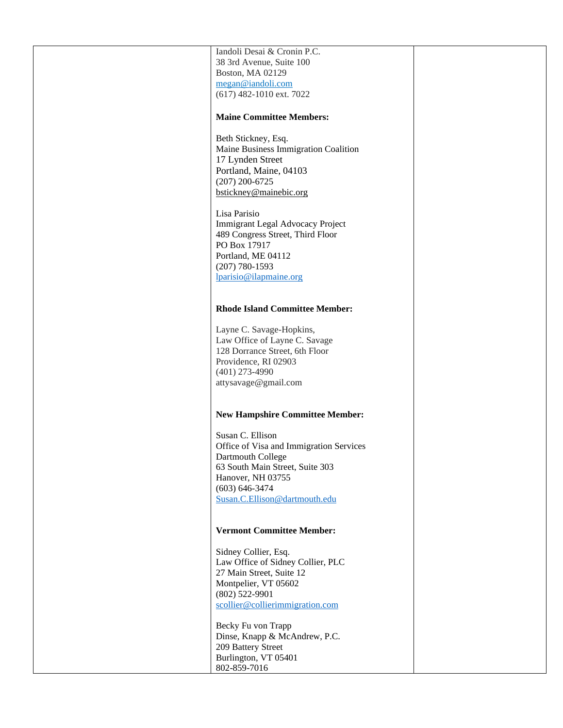| Iandoli Desai & Cronin P.C.             |  |
|-----------------------------------------|--|
| 38 3rd Avenue, Suite 100                |  |
|                                         |  |
| Boston, MA 02129                        |  |
| megan@iandoli.com                       |  |
|                                         |  |
| (617) 482-1010 ext. 7022                |  |
|                                         |  |
|                                         |  |
| <b>Maine Committee Members:</b>         |  |
|                                         |  |
|                                         |  |
| Beth Stickney, Esq.                     |  |
| Maine Business Immigration Coalition    |  |
|                                         |  |
| 17 Lynden Street                        |  |
| Portland, Maine, 04103                  |  |
|                                         |  |
| $(207)$ 200-6725                        |  |
| bstickney@mainebic.org                  |  |
|                                         |  |
|                                         |  |
| Lisa Parisio                            |  |
|                                         |  |
| Immigrant Legal Advocacy Project        |  |
| 489 Congress Street, Third Floor        |  |
|                                         |  |
| PO Box 17917                            |  |
| Portland, ME 04112                      |  |
|                                         |  |
| $(207) 780 - 1593$                      |  |
| lparisio@ilapmaine.org                  |  |
|                                         |  |
|                                         |  |
|                                         |  |
|                                         |  |
| <b>Rhode Island Committee Member:</b>   |  |
|                                         |  |
|                                         |  |
| Layne C. Savage-Hopkins,                |  |
| Law Office of Layne C. Savage           |  |
|                                         |  |
| 128 Dorrance Street, 6th Floor          |  |
| Providence, RI 02903                    |  |
|                                         |  |
|                                         |  |
| $(401)$ 273-4990                        |  |
|                                         |  |
| attysavage@gmail.com                    |  |
|                                         |  |
|                                         |  |
|                                         |  |
| <b>New Hampshire Committee Member:</b>  |  |
|                                         |  |
|                                         |  |
| Susan C. Ellison                        |  |
| Office of Visa and Immigration Services |  |
|                                         |  |
| Dartmouth College                       |  |
|                                         |  |
| 63 South Main Street, Suite 303         |  |
| Hanover, NH 03755                       |  |
| $(603) 646 - 3474$                      |  |
|                                         |  |
| Susan.C.Ellison@dartmouth.edu           |  |
|                                         |  |
|                                         |  |
|                                         |  |
| <b>Vermont Committee Member:</b>        |  |
|                                         |  |
|                                         |  |
| Sidney Collier, Esq.                    |  |
| Law Office of Sidney Collier, PLC       |  |
|                                         |  |
| 27 Main Street, Suite 12                |  |
| Montpelier, VT 05602                    |  |
|                                         |  |
| $(802)$ 522-9901                        |  |
| scollier@collierimmigration.com         |  |
|                                         |  |
|                                         |  |
| Becky Fu von Trapp                      |  |
|                                         |  |
| Dinse, Knapp & McAndrew, P.C.           |  |
| 209 Battery Street                      |  |
|                                         |  |
| Burlington, VT 05401                    |  |
| 802-859-7016                            |  |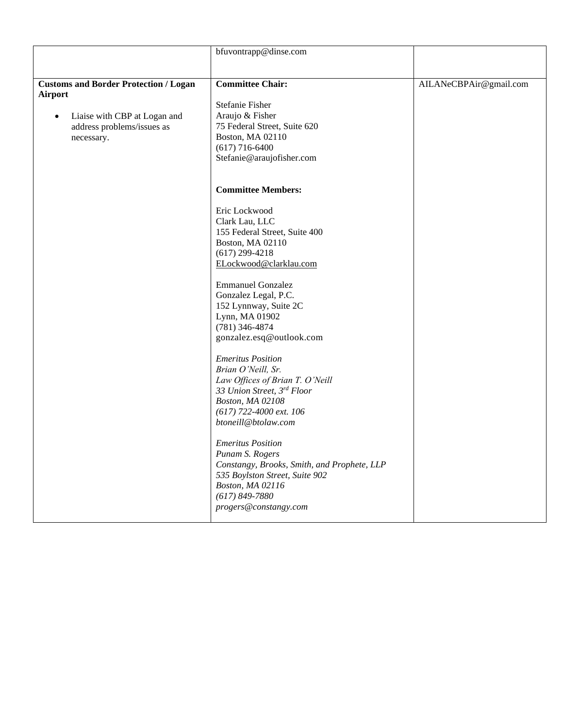|                                                                | bfuvontrapp@dinse.com                                          |                        |
|----------------------------------------------------------------|----------------------------------------------------------------|------------------------|
|                                                                |                                                                |                        |
|                                                                | <b>Committee Chair:</b>                                        |                        |
| <b>Customs and Border Protection / Logan</b><br><b>Airport</b> |                                                                | AILANeCBPAir@gmail.com |
|                                                                | Stefanie Fisher                                                |                        |
| Liaise with CBP at Logan and<br>$\bullet$                      | Araujo & Fisher                                                |                        |
| address problems/issues as                                     | 75 Federal Street, Suite 620                                   |                        |
| necessary.                                                     | Boston, MA 02110                                               |                        |
|                                                                | $(617)$ 716-6400                                               |                        |
|                                                                | Stefanie@araujofisher.com                                      |                        |
|                                                                |                                                                |                        |
|                                                                |                                                                |                        |
|                                                                | <b>Committee Members:</b>                                      |                        |
|                                                                | Eric Lockwood                                                  |                        |
|                                                                | Clark Lau, LLC                                                 |                        |
|                                                                | 155 Federal Street, Suite 400                                  |                        |
|                                                                | Boston, MA 02110                                               |                        |
|                                                                | $(617)$ 299-4218                                               |                        |
|                                                                | ELockwood@clarklau.com                                         |                        |
|                                                                | <b>Emmanuel Gonzalez</b>                                       |                        |
|                                                                | Gonzalez Legal, P.C.                                           |                        |
|                                                                | 152 Lynnway, Suite 2C                                          |                        |
|                                                                | Lynn, MA 01902                                                 |                        |
|                                                                | $(781)$ 346-4874                                               |                        |
|                                                                | gonzalez.esq@outlook.com                                       |                        |
|                                                                | <b>Emeritus Position</b>                                       |                        |
|                                                                | Brian O'Neill, Sr.                                             |                        |
|                                                                | Law Offices of Brian T. O'Neill                                |                        |
|                                                                | 33 Union Street, 3rd Floor                                     |                        |
|                                                                | Boston, MA 02108                                               |                        |
|                                                                | $(617)$ 722-4000 ext. 106                                      |                        |
|                                                                | btoneill@btolaw.com                                            |                        |
|                                                                |                                                                |                        |
|                                                                | <b>Emeritus Position</b>                                       |                        |
|                                                                | Punam S. Rogers<br>Constangy, Brooks, Smith, and Prophete, LLP |                        |
|                                                                | 535 Boylston Street, Suite 902                                 |                        |
|                                                                | Boston, MA 02116                                               |                        |
|                                                                | $(617) 849 - 7880$                                             |                        |
|                                                                | progers@constangy.com                                          |                        |
|                                                                |                                                                |                        |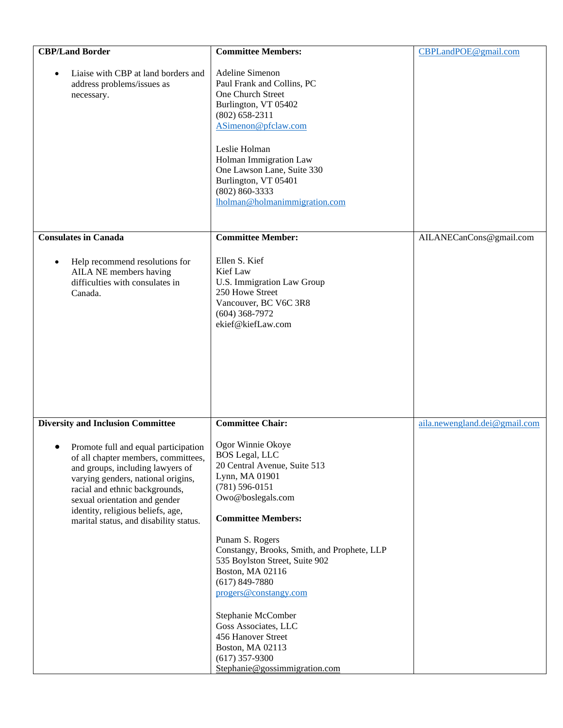| <b>Adeline Simenon</b><br>Paul Frank and Collins, PC<br>One Church Street<br>Burlington, VT 05402<br>$(802) 658 - 2311$<br>ASimenon@pfclaw.com<br>Leslie Holman<br>Holman Immigration Law<br>One Lawson Lane, Suite 330<br>Burlington, VT 05401<br>$(802) 860 - 3333$<br>Iholman@holmanimmigration.com                                                                                                                              |                                                                               |
|-------------------------------------------------------------------------------------------------------------------------------------------------------------------------------------------------------------------------------------------------------------------------------------------------------------------------------------------------------------------------------------------------------------------------------------|-------------------------------------------------------------------------------|
|                                                                                                                                                                                                                                                                                                                                                                                                                                     | AILANECanCons@gmail.com                                                       |
| Ellen S. Kief<br>Kief Law<br>U.S. Immigration Law Group<br>250 Howe Street<br>Vancouver, BC V6C 3R8<br>$(604)$ 368-7972<br>ekief@kiefLaw.com                                                                                                                                                                                                                                                                                        |                                                                               |
| <b>Committee Chair:</b>                                                                                                                                                                                                                                                                                                                                                                                                             | aila.newengland.dei@gmail.com                                                 |
| Ogor Winnie Okoye<br><b>BOS Legal, LLC</b><br>20 Central Avenue, Suite 513<br>Lynn, MA 01901<br>$(781) 596 - 0151$<br>Owo@boslegals.com<br><b>Committee Members:</b><br>Punam S. Rogers<br>Constangy, Brooks, Smith, and Prophete, LLP<br>535 Boylston Street, Suite 902<br>Boston, MA 02116<br>$(617) 849 - 7880$<br>progers@constangy.com<br>Stephanie McComber<br>Goss Associates, LLC<br>456 Hanover Street<br>Boston, MA 02113 |                                                                               |
|                                                                                                                                                                                                                                                                                                                                                                                                                                     | <b>Committee Member:</b><br>$(617)$ 357-9300<br>Stephanie@gossimmigration.com |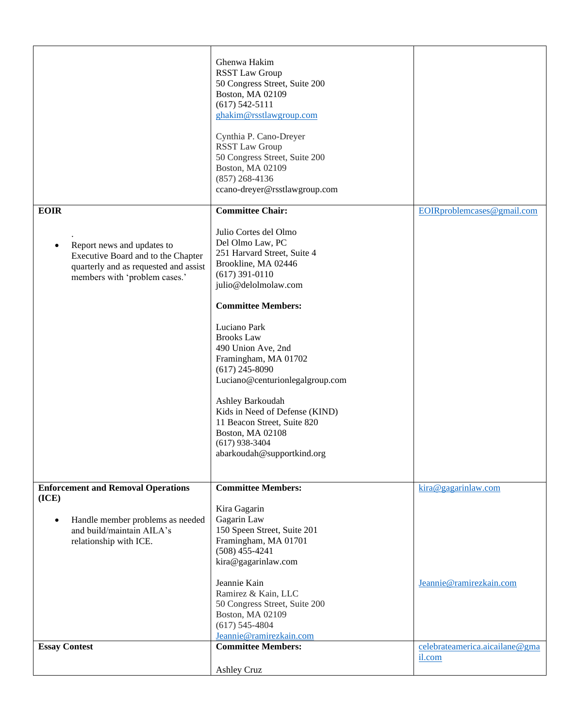|                                                                                                                                                                | Ghenwa Hakim<br><b>RSST Law Group</b><br>50 Congress Street, Suite 200<br>Boston, MA 02109<br>$(617) 542 - 5111$<br>ghakim@rsstlawgroup.com<br>Cynthia P. Cano-Dreyer<br><b>RSST Law Group</b><br>50 Congress Street, Suite 200<br>Boston, MA 02109<br>$(857)$ 268-4136<br>ccano-dreyer@rsstlawgroup.com                                                                                                                                                                                                 |                                                |
|----------------------------------------------------------------------------------------------------------------------------------------------------------------|----------------------------------------------------------------------------------------------------------------------------------------------------------------------------------------------------------------------------------------------------------------------------------------------------------------------------------------------------------------------------------------------------------------------------------------------------------------------------------------------------------|------------------------------------------------|
| <b>EOIR</b><br>Report news and updates to<br>٠<br>Executive Board and to the Chapter<br>quarterly and as requested and assist<br>members with 'problem cases.' | <b>Committee Chair:</b><br>Julio Cortes del Olmo<br>Del Olmo Law, PC<br>251 Harvard Street, Suite 4<br>Brookline, MA 02446<br>$(617)$ 391-0110<br>julio@delolmolaw.com<br><b>Committee Members:</b><br>Luciano Park<br><b>Brooks Law</b><br>490 Union Ave, 2nd<br>Framingham, MA 01702<br>$(617)$ 245-8090<br>Luciano@centurionlegalgroup.com<br>Ashley Barkoudah<br>Kids in Need of Defense (KIND)<br>11 Beacon Street, Suite 820<br>Boston, MA 02108<br>$(617)$ 938-3404<br>abarkoudah@supportkind.org | EOIRproblemcases@gmail.com                     |
| <b>Enforcement and Removal Operations</b><br>(ICE)<br>Handle member problems as needed<br>$\bullet$<br>and build/maintain AILA's<br>relationship with ICE.     | <b>Committee Members:</b><br>Kira Gagarin<br>Gagarin Law<br>150 Speen Street, Suite 201<br>Framingham, MA 01701<br>$(508)$ 455-4241<br>kira@gagarinlaw.com<br>Jeannie Kain<br>Ramirez & Kain, LLC<br>50 Congress Street, Suite 200<br>Boston, MA 02109<br>$(617) 545 - 4804$<br>Jeannie@ramirezkain.com                                                                                                                                                                                                  | kira@gagarinlaw.com<br>Jeannie@ramirezkain.com |
| <b>Essay Contest</b>                                                                                                                                           | <b>Committee Members:</b><br><b>Ashley Cruz</b>                                                                                                                                                                                                                                                                                                                                                                                                                                                          | celebrateamerica.aicailane@gma<br>il.com       |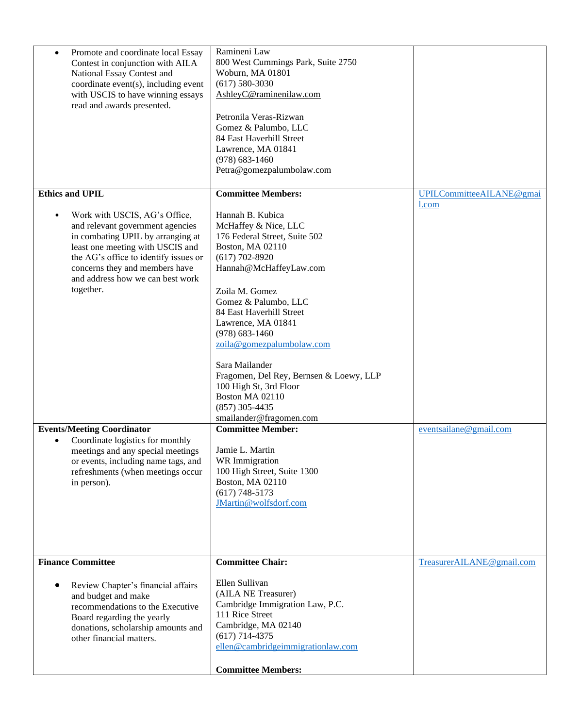| Promote and coordinate local Essay<br>$\bullet$<br>Contest in conjunction with AILA<br>National Essay Contest and<br>coordinate event(s), including event<br>with USCIS to have winning essays<br>read and awards presented.                                                        | Ramineni Law<br>800 West Cummings Park, Suite 2750<br>Woburn, MA 01801<br>$(617) 580 - 3030$<br>AshleyC@raminenilaw.com<br>Petronila Veras-Rizwan<br>Gomez & Palumbo, LLC<br>84 East Haverhill Street<br>Lawrence, MA 01841<br>$(978) 683 - 1460$<br>Petra@gomezpalumbolaw.com                                                                                                                                                                      |                           |
|-------------------------------------------------------------------------------------------------------------------------------------------------------------------------------------------------------------------------------------------------------------------------------------|-----------------------------------------------------------------------------------------------------------------------------------------------------------------------------------------------------------------------------------------------------------------------------------------------------------------------------------------------------------------------------------------------------------------------------------------------------|---------------------------|
| <b>Ethics and UPIL</b>                                                                                                                                                                                                                                                              | <b>Committee Members:</b>                                                                                                                                                                                                                                                                                                                                                                                                                           | UPILCommitteeAILANE@gmai  |
| Work with USCIS, AG's Office,<br>$\bullet$<br>and relevant government agencies<br>in combating UPIL by arranging at<br>least one meeting with USCIS and<br>the AG's office to identify issues or<br>concerns they and members have<br>and address how we can best work<br>together. | Hannah B. Kubica<br>McHaffey & Nice, LLC<br>176 Federal Street, Suite 502<br>Boston, MA 02110<br>$(617)$ 702-8920<br>Hannah@McHaffeyLaw.com<br>Zoila M. Gomez<br>Gomez & Palumbo, LLC<br>84 East Haverhill Street<br>Lawrence, MA 01841<br>$(978) 683 - 1460$<br>zoila@gomezpalumbolaw.com<br>Sara Mailander<br>Fragomen, Del Rey, Bernsen & Loewy, LLP<br>100 High St, 3rd Floor<br>Boston MA 02110<br>$(857)$ 305-4435<br>smailander@fragomen.com | 1.com                     |
| <b>Events/Meeting Coordinator</b>                                                                                                                                                                                                                                                   | <b>Committee Member:</b>                                                                                                                                                                                                                                                                                                                                                                                                                            | eventsailane@gmail.com    |
| Coordinate logistics for monthly<br>$\bullet$<br>meetings and any special meetings<br>or events, including name tags, and<br>refreshments (when meetings occur<br>in person).                                                                                                       | Jamie L. Martin<br><b>WR</b> Immigration<br>100 High Street, Suite 1300<br>Boston, MA 02110<br>$(617) 748 - 5173$<br>JMartin@wolfsdorf.com                                                                                                                                                                                                                                                                                                          |                           |
| <b>Finance Committee</b>                                                                                                                                                                                                                                                            | <b>Committee Chair:</b>                                                                                                                                                                                                                                                                                                                                                                                                                             | TreasurerAILANE@gmail.com |
| Review Chapter's financial affairs<br>$\bullet$<br>and budget and make<br>recommendations to the Executive<br>Board regarding the yearly<br>donations, scholarship amounts and<br>other financial matters.                                                                          | Ellen Sullivan<br>(AILA NE Treasurer)<br>Cambridge Immigration Law, P.C.<br>111 Rice Street<br>Cambridge, MA 02140<br>$(617)$ 714-4375<br>ellen@cambridgeimmigrationlaw.com<br><b>Committee Members:</b>                                                                                                                                                                                                                                            |                           |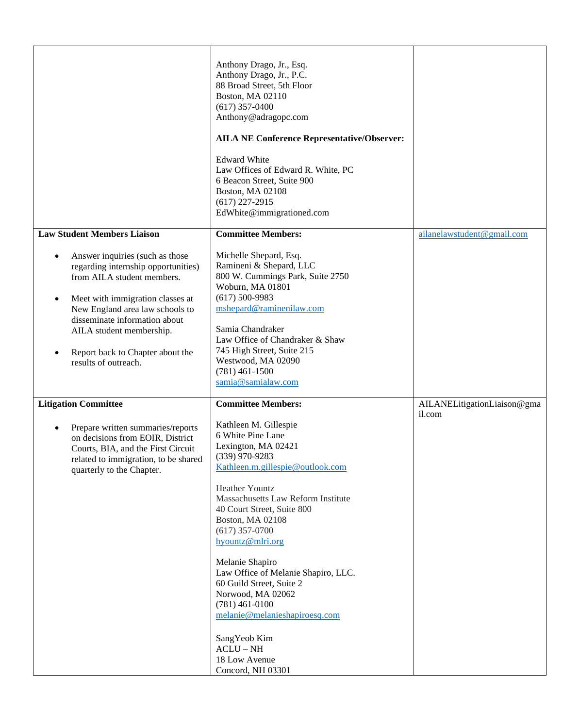|                                                                                                                                                                                               | Anthony Drago, Jr., Esq.<br>Anthony Drago, Jr., P.C.<br>88 Broad Street, 5th Floor<br>Boston, MA 02110<br>$(617)$ 357-0400<br>Anthony@adragopc.com<br><b>AILA NE Conference Representative/Observer:</b><br><b>Edward White</b><br>Law Offices of Edward R. White, PC<br>6 Beacon Street, Suite 900<br>Boston, MA 02108<br>$(617)$ 227-2915<br>EdWhite@immigrationed.com                                                                           |                                       |
|-----------------------------------------------------------------------------------------------------------------------------------------------------------------------------------------------|----------------------------------------------------------------------------------------------------------------------------------------------------------------------------------------------------------------------------------------------------------------------------------------------------------------------------------------------------------------------------------------------------------------------------------------------------|---------------------------------------|
| <b>Law Student Members Liaison</b><br>Answer inquiries (such as those<br>$\bullet$<br>regarding internship opportunities)<br>from AILA student members.                                       | <b>Committee Members:</b><br>Michelle Shepard, Esq.<br>Ramineni & Shepard, LLC<br>800 W. Cummings Park, Suite 2750                                                                                                                                                                                                                                                                                                                                 | ailanelawstudent@gmail.com            |
| Meet with immigration classes at<br>$\bullet$<br>New England area law schools to<br>disseminate information about<br>AILA student membership.                                                 | Woburn, MA 01801<br>$(617) 500 - 9983$<br>mshepard@raminenilaw.com<br>Samia Chandraker                                                                                                                                                                                                                                                                                                                                                             |                                       |
| Report back to Chapter about the<br>$\bullet$<br>results of outreach.                                                                                                                         | Law Office of Chandraker & Shaw<br>745 High Street, Suite 215<br>Westwood, MA 02090<br>$(781)$ 461-1500<br>samia@samialaw.com                                                                                                                                                                                                                                                                                                                      |                                       |
| <b>Litigation Committee</b>                                                                                                                                                                   | <b>Committee Members:</b>                                                                                                                                                                                                                                                                                                                                                                                                                          | AILANELitigationLiaison@gma<br>il.com |
| Prepare written summaries/reports<br>$\bullet$<br>on decisions from EOIR, District<br>Courts, BIA, and the First Circuit<br>related to immigration, to be shared<br>quarterly to the Chapter. | Kathleen M. Gillespie<br>6 White Pine Lane<br>Lexington, MA 02421<br>$(339)$ 970-9283<br>Kathleen.m.gillespie@outlook.com<br><b>Heather Yountz</b><br>Massachusetts Law Reform Institute<br>40 Court Street, Suite 800<br>Boston, MA 02108<br>$(617)$ 357-0700<br>hyountz@mlri.org<br>Melanie Shapiro<br>Law Office of Melanie Shapiro, LLC.<br>60 Guild Street, Suite 2<br>Norwood, MA 02062<br>$(781)$ 461-0100<br>melanie@melanieshapiroesq.com |                                       |
|                                                                                                                                                                                               | SangYeob Kim<br>$ACLU-NH$<br>18 Low Avenue<br>Concord, NH 03301                                                                                                                                                                                                                                                                                                                                                                                    |                                       |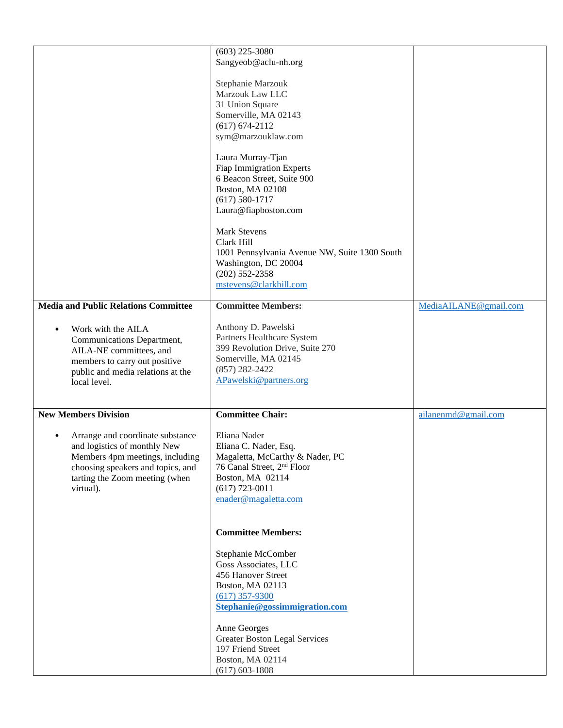|                                             | $(603)$ 225-3080                              |                       |
|---------------------------------------------|-----------------------------------------------|-----------------------|
|                                             | Sangyeob@aclu-nh.org                          |                       |
|                                             |                                               |                       |
|                                             | Stephanie Marzouk                             |                       |
|                                             | Marzouk Law LLC                               |                       |
|                                             | 31 Union Square                               |                       |
|                                             | Somerville, MA 02143                          |                       |
|                                             | $(617) 674 - 2112$                            |                       |
|                                             | sym@marzouklaw.com                            |                       |
|                                             | Laura Murray-Tjan                             |                       |
|                                             | <b>Fiap Immigration Experts</b>               |                       |
|                                             | 6 Beacon Street, Suite 900                    |                       |
|                                             | Boston, MA 02108                              |                       |
|                                             | $(617) 580 - 1717$                            |                       |
|                                             | Laura@fiapboston.com                          |                       |
|                                             | <b>Mark Stevens</b>                           |                       |
|                                             | Clark Hill                                    |                       |
|                                             | 1001 Pennsylvania Avenue NW, Suite 1300 South |                       |
|                                             | Washington, DC 20004                          |                       |
|                                             | $(202)$ 552-2358                              |                       |
|                                             | mstevens@clarkhill.com                        |                       |
| <b>Media and Public Relations Committee</b> | <b>Committee Members:</b>                     | MediaAILANE@gmail.com |
|                                             |                                               |                       |
| Work with the AILA<br>$\bullet$             | Anthony D. Pawelski                           |                       |
| Communications Department,                  | Partners Healthcare System                    |                       |
| AILA-NE committees, and                     | 399 Revolution Drive, Suite 270               |                       |
| members to carry out positive               | Somerville, MA 02145                          |                       |
| public and media relations at the           | $(857) 282 - 2422$                            |                       |
| local level.                                | APawelski@partners.org                        |                       |
|                                             |                                               |                       |
| <b>New Members Division</b>                 | <b>Committee Chair:</b>                       | ailanenmd@gmail.com   |
|                                             |                                               |                       |
| Arrange and coordinate substance            | Eliana Nader                                  |                       |
| and logistics of monthly New                | Eliana C. Nader, Esq.                         |                       |
| Members 4pm meetings, including             | Magaletta, McCarthy & Nader, PC               |                       |
| choosing speakers and topics, and           | 76 Canal Street, 2 <sup>nd</sup> Floor        |                       |
| tarting the Zoom meeting (when              | Boston, MA 02114                              |                       |
| virtual).                                   | $(617)$ 723-0011<br>enader@magaletta.com      |                       |
|                                             |                                               |                       |
|                                             |                                               |                       |
|                                             | <b>Committee Members:</b>                     |                       |
|                                             | Stephanie McComber                            |                       |
|                                             | Goss Associates, LLC                          |                       |
|                                             | 456 Hanover Street                            |                       |
|                                             | Boston, MA 02113                              |                       |
|                                             | $(617)$ 357-9300                              |                       |
|                                             | Stephanie@gossimmigration.com                 |                       |
|                                             | Anne Georges                                  |                       |
|                                             | <b>Greater Boston Legal Services</b>          |                       |
|                                             | 197 Friend Street                             |                       |
|                                             | Boston, MA 02114                              |                       |
|                                             | $(617) 603 - 1808$                            |                       |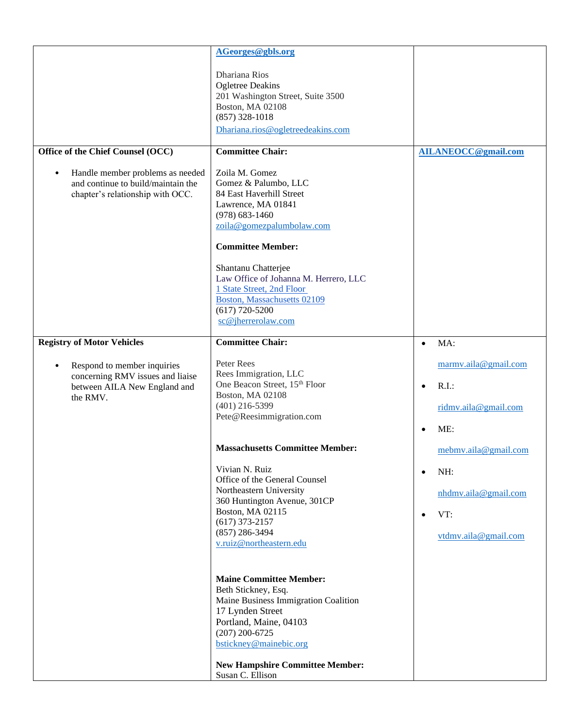| Office of the Chief Counsel (OCC)<br>Handle member problems as needed<br>$\bullet$<br>and continue to build/maintain the<br>chapter's relationship with OCC.  | AGeorges@gbls.org<br>Dhariana Rios<br><b>Ogletree Deakins</b><br>201 Washington Street, Suite 3500<br>Boston, MA 02108<br>$(857)$ 328-1018<br>Dhariana.rios@ogletreedeakins.com<br><b>Committee Chair:</b><br>Zoila M. Gomez<br>Gomez & Palumbo, LLC<br>84 East Haverhill Street<br>Lawrence, MA 01841<br>$(978) 683 - 1460$<br>zoila@gomezpalumbolaw.com                                                                                | <b>AILANEOCC@gmail.com</b>                                                                                    |
|---------------------------------------------------------------------------------------------------------------------------------------------------------------|------------------------------------------------------------------------------------------------------------------------------------------------------------------------------------------------------------------------------------------------------------------------------------------------------------------------------------------------------------------------------------------------------------------------------------------|---------------------------------------------------------------------------------------------------------------|
|                                                                                                                                                               | <b>Committee Member:</b><br>Shantanu Chatterjee<br>Law Office of Johanna M. Herrero, LLC<br>1 State Street, 2nd Floor<br><b>Boston, Massachusetts 02109</b><br>$(617)$ 720-5200<br>sc@jherrerolaw.com                                                                                                                                                                                                                                    |                                                                                                               |
| <b>Registry of Motor Vehicles</b><br>Respond to member inquiries<br>$\bullet$<br>concerning RMV issues and liaise<br>between AILA New England and<br>the RMV. | <b>Committee Chair:</b><br>Peter Rees<br>Rees Immigration, LLC<br>One Beacon Street, 15 <sup>th</sup> Floor<br>Boston, MA 02108<br>$(401)$ 216-5399<br>Pete@Reesimmigration.com                                                                                                                                                                                                                                                          | MA:<br>$\bullet$<br>marmy.aila@gmail.com<br>$R.I.$ :<br>$\bullet$<br>ridmy.aila@gmail.com<br>ME:<br>$\bullet$ |
|                                                                                                                                                               | <b>Massachusetts Committee Member:</b><br>Vivian N. Ruiz<br>Office of the General Counsel<br>Northeastern University<br>360 Huntington Avenue, 301CP<br>Boston, MA 02115<br>$(617)$ 373-2157<br>$(857)$ 286-3494<br>v.ruiz@northeastern.edu<br><b>Maine Committee Member:</b><br>Beth Stickney, Esq.<br>Maine Business Immigration Coalition<br>17 Lynden Street<br>Portland, Maine, 04103<br>$(207)$ 200-6725<br>bstickney@mainebic.org | mebmv.aila@gmail.com<br>NH:<br>$\bullet$<br>nhdmv.aila@gmail.com<br>VT:<br>$\bullet$<br>vtdmv.aila@gmail.com  |
|                                                                                                                                                               | <b>New Hampshire Committee Member:</b><br>Susan C. Ellison                                                                                                                                                                                                                                                                                                                                                                               |                                                                                                               |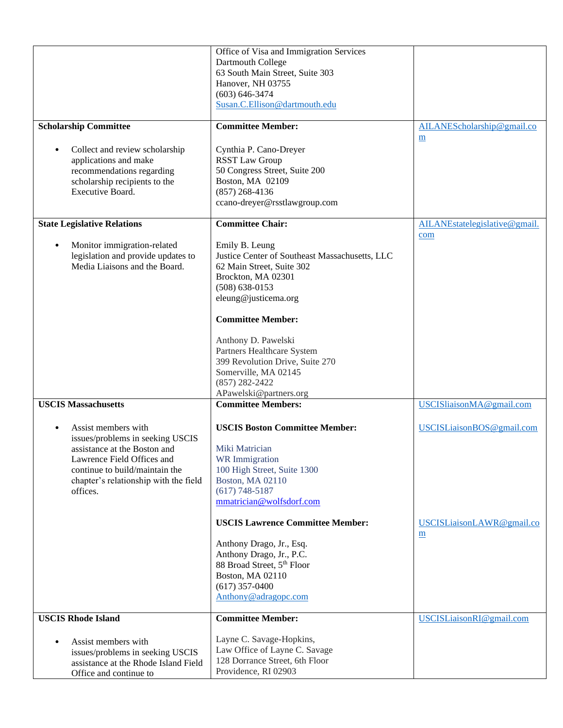| <b>Scholarship Committee</b>                                                                                                                                                                                                                            | Office of Visa and Immigration Services<br>Dartmouth College<br>63 South Main Street, Suite 303<br>Hanover, NH 03755<br>$(603) 646 - 3474$<br>Susan.C.Ellison@dartmouth.edu<br><b>Committee Member:</b>                                                                                                                                                                                                             | AILANEScholarship@gmail.co                                                                                     |
|---------------------------------------------------------------------------------------------------------------------------------------------------------------------------------------------------------------------------------------------------------|---------------------------------------------------------------------------------------------------------------------------------------------------------------------------------------------------------------------------------------------------------------------------------------------------------------------------------------------------------------------------------------------------------------------|----------------------------------------------------------------------------------------------------------------|
| Collect and review scholarship<br>$\bullet$<br>applications and make<br>recommendations regarding<br>scholarship recipients to the<br>Executive Board.                                                                                                  | Cynthia P. Cano-Dreyer<br><b>RSST Law Group</b><br>50 Congress Street, Suite 200<br>Boston, MA 02109<br>$(857)$ 268-4136<br>ccano-dreyer@rsstlawgroup.com                                                                                                                                                                                                                                                           | $\underline{m}$                                                                                                |
| <b>State Legislative Relations</b><br>Monitor immigration-related<br>$\bullet$<br>legislation and provide updates to<br>Media Liaisons and the Board.                                                                                                   | <b>Committee Chair:</b><br>Emily B. Leung<br>Justice Center of Southeast Massachusetts, LLC<br>62 Main Street, Suite 302<br>Brockton, MA 02301<br>$(508) 638 - 0153$<br>eleung@justicema.org<br><b>Committee Member:</b><br>Anthony D. Pawelski<br>Partners Healthcare System<br>399 Revolution Drive, Suite 270<br>Somerville, MA 02145<br>$(857)$ 282-2422<br>APawelski@partners.org                              | AILANEstatelegislative@gmail.<br>com                                                                           |
| <b>USCIS Massachusetts</b><br>Assist members with<br>$\bullet$<br>issues/problems in seeking USCIS<br>assistance at the Boston and<br>Lawrence Field Offices and<br>continue to build/maintain the<br>chapter's relationship with the field<br>offices. | <b>Committee Members:</b><br><b>USCIS Boston Committee Member:</b><br>Miki Matrician<br>WR Immigration<br>100 High Street, Suite 1300<br><b>Boston, MA 02110</b><br>$(617) 748 - 5187$<br>mmatrician@wolfsdorf.com<br><b>USCIS Lawrence Committee Member:</b><br>Anthony Drago, Jr., Esq.<br>Anthony Drago, Jr., P.C.<br>88 Broad Street, 5th Floor<br>Boston, MA 02110<br>$(617)$ 357-0400<br>Anthony@adragopc.com | USCISliaisonMA@gmail.com<br>USCISLiaisonBOS@gmail.com<br>USCISLiaisonLAWR@gmail.co<br>$\underline{\mathbf{m}}$ |
| <b>USCIS Rhode Island</b><br>Assist members with<br>$\bullet$<br>issues/problems in seeking USCIS<br>assistance at the Rhode Island Field<br>Office and continue to                                                                                     | <b>Committee Member:</b><br>Layne C. Savage-Hopkins,<br>Law Office of Layne C. Savage<br>128 Dorrance Street, 6th Floor<br>Providence, RI 02903                                                                                                                                                                                                                                                                     | USCISLiaisonRI@gmail.com                                                                                       |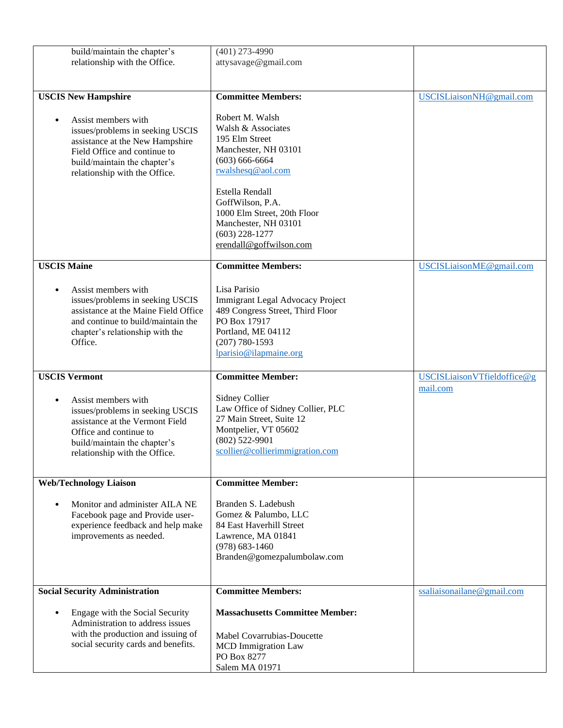| build/maintain the chapter's<br>relationship with the Office.                                                                                                                                            | $(401)$ 273-4990<br>attysavage@gmail.com                                                                                                                                                                                                                              |                             |
|----------------------------------------------------------------------------------------------------------------------------------------------------------------------------------------------------------|-----------------------------------------------------------------------------------------------------------------------------------------------------------------------------------------------------------------------------------------------------------------------|-----------------------------|
| <b>USCIS New Hampshire</b>                                                                                                                                                                               | <b>Committee Members:</b>                                                                                                                                                                                                                                             | USCISLiaisonNH@gmail.com    |
| Assist members with<br>$\bullet$<br>issues/problems in seeking USCIS<br>assistance at the New Hampshire<br>Field Office and continue to<br>build/maintain the chapter's<br>relationship with the Office. | Robert M. Walsh<br>Walsh & Associates<br>195 Elm Street<br>Manchester, NH 03101<br>$(603) 666-6664$<br>rwalshesq@aol.com<br>Estella Rendall<br>GoffWilson, P.A.<br>1000 Elm Street, 20th Floor<br>Manchester, NH 03101<br>$(603)$ 228-1277<br>erendall@goffwilson.com |                             |
| <b>USCIS Maine</b>                                                                                                                                                                                       | <b>Committee Members:</b>                                                                                                                                                                                                                                             | USCISLiaisonME@gmail.com    |
| Assist members with<br>$\bullet$<br>issues/problems in seeking USCIS<br>assistance at the Maine Field Office<br>and continue to build/maintain the<br>chapter's relationship with the<br>Office.         | Lisa Parisio<br>Immigrant Legal Advocacy Project<br>489 Congress Street, Third Floor<br>PO Box 17917<br>Portland, ME 04112<br>$(207) 780 - 1593$<br>lparisio@ilapmaine.org                                                                                            |                             |
| <b>USCIS Vermont</b>                                                                                                                                                                                     | <b>Committee Member:</b>                                                                                                                                                                                                                                              | USCISLiaisonVTfieldoffice@g |
| Assist members with<br>$\bullet$<br>issues/problems in seeking USCIS<br>assistance at the Vermont Field<br>Office and continue to<br>build/maintain the chapter's<br>relationship with the Office.       | <b>Sidney Collier</b><br>Law Office of Sidney Collier, PLC<br>27 Main Street, Suite 12<br>Montpelier, VT 05602<br>$(802)$ 522-9901<br>scollier@collierimmigration.com                                                                                                 | mail.com                    |
| <b>Web/Technology Liaison</b>                                                                                                                                                                            | <b>Committee Member:</b>                                                                                                                                                                                                                                              |                             |
| Monitor and administer AILA NE<br>$\bullet$<br>Facebook page and Provide user-<br>experience feedback and help make<br>improvements as needed.                                                           | Branden S. Ladebush<br>Gomez & Palumbo, LLC<br>84 East Haverhill Street<br>Lawrence, MA 01841<br>$(978) 683 - 1460$<br>Branden@gomezpalumbolaw.com                                                                                                                    |                             |
| <b>Social Security Administration</b>                                                                                                                                                                    | <b>Committee Members:</b>                                                                                                                                                                                                                                             | ssaliaisonailane@gmail.com  |
| Engage with the Social Security<br>$\bullet$<br>Administration to address issues<br>with the production and issuing of<br>social security cards and benefits.                                            | <b>Massachusetts Committee Member:</b><br>Mabel Covarrubias-Doucette<br><b>MCD</b> Immigration Law<br>PO Box 8277<br>Salem MA 01971                                                                                                                                   |                             |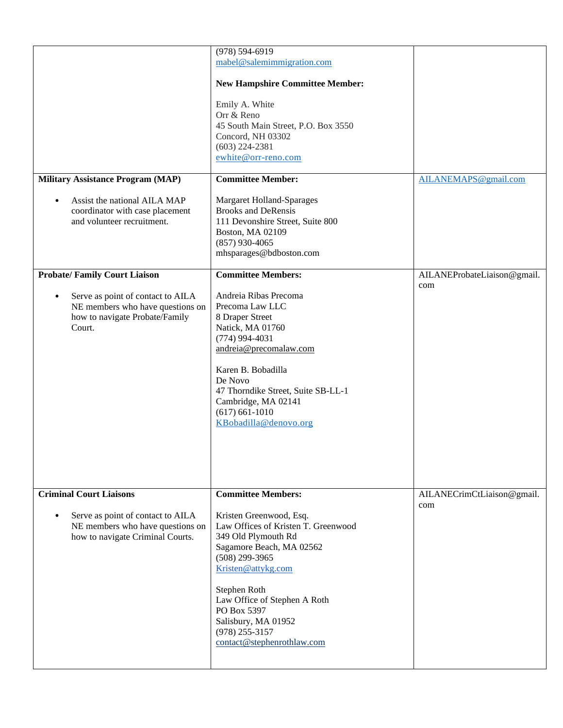| <b>Military Assistance Program (MAP)</b><br>Assist the national AILA MAP<br>$\bullet$                                                                                 | $(978) 594 - 6919$<br>mabel@salemimmigration.com<br><b>New Hampshire Committee Member:</b><br>Emily A. White<br>Orr & Reno<br>45 South Main Street, P.O. Box 3550<br>Concord, NH 03302<br>$(603)$ 224-2381<br>ewhite@orr-reno.com<br><b>Committee Member:</b><br><b>Margaret Holland-Sparages</b>                                | AILANEMAPS@gmail.com               |
|-----------------------------------------------------------------------------------------------------------------------------------------------------------------------|----------------------------------------------------------------------------------------------------------------------------------------------------------------------------------------------------------------------------------------------------------------------------------------------------------------------------------|------------------------------------|
| coordinator with case placement<br>and volunteer recruitment.                                                                                                         | <b>Brooks and DeRensis</b><br>111 Devonshire Street, Suite 800<br>Boston, MA 02109<br>$(857)$ 930-4065<br>mhsparages@bdboston.com                                                                                                                                                                                                |                                    |
| <b>Probate/Family Court Liaison</b><br>Serve as point of contact to AILA<br>$\bullet$<br>NE members who have questions on<br>how to navigate Probate/Family<br>Court. | <b>Committee Members:</b><br>Andreia Ribas Precoma<br>Precoma Law LLC<br>8 Draper Street<br>Natick, MA 01760<br>$(774)$ 994-4031<br>andreia@precomalaw.com<br>Karen B. Bobadilla<br>De Novo<br>47 Thorndike Street, Suite SB-LL-1<br>Cambridge, MA 02141<br>$(617) 661 - 1010$<br>KBobadilla@denovo.org                          | AILANEProbateLiaison@gmail.<br>com |
| <b>Criminal Court Liaisons</b><br>Serve as point of contact to AILA<br>٠<br>NE members who have questions on<br>how to navigate Criminal Courts.                      | <b>Committee Members:</b><br>Kristen Greenwood, Esq.<br>Law Offices of Kristen T. Greenwood<br>349 Old Plymouth Rd<br>Sagamore Beach, MA 02562<br>$(508)$ 299-3965<br>Kristen@attykg.com<br>Stephen Roth<br>Law Office of Stephen A Roth<br>PO Box 5397<br>Salisbury, MA 01952<br>$(978)$ 255-3157<br>contact@stephenrothlaw.com | AILANECrimCtLiaison@gmail.<br>com  |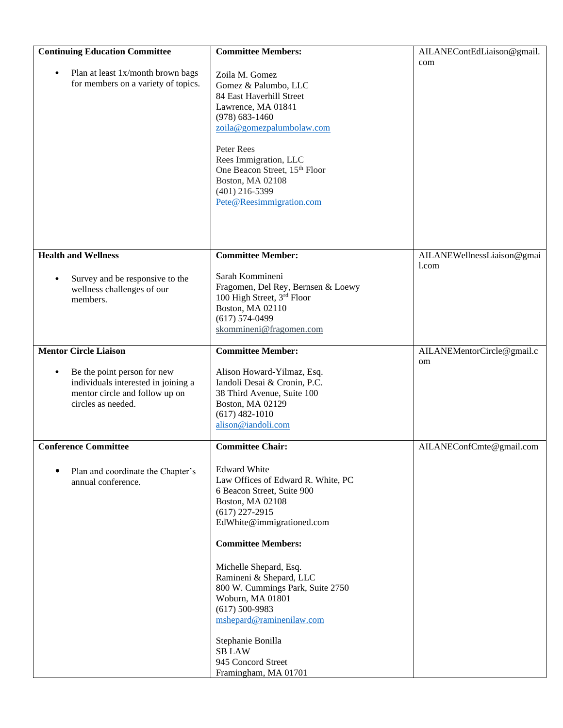| <b>Continuing Education Committee</b>                                                                                                   | <b>Committee Members:</b>                                                                                                                                                                                                                                                                                                                                                                                                                  | AILANEContEdLiaison@gmail.       |
|-----------------------------------------------------------------------------------------------------------------------------------------|--------------------------------------------------------------------------------------------------------------------------------------------------------------------------------------------------------------------------------------------------------------------------------------------------------------------------------------------------------------------------------------------------------------------------------------------|----------------------------------|
| Plan at least 1x/month brown bags<br>$\bullet$<br>for members on a variety of topics.                                                   | Zoila M. Gomez<br>Gomez & Palumbo, LLC<br>84 East Haverhill Street<br>Lawrence, MA 01841<br>$(978) 683 - 1460$<br>zoila@gomezpalumbolaw.com<br>Peter Rees<br>Rees Immigration, LLC<br>One Beacon Street, 15th Floor<br>Boston, MA 02108<br>$(401)$ 216-5399<br>Pete@Reesimmigration.com                                                                                                                                                    | com                              |
| <b>Health and Wellness</b>                                                                                                              | <b>Committee Member:</b>                                                                                                                                                                                                                                                                                                                                                                                                                   | AILANEWellnessLiaison@gmai       |
| Survey and be responsive to the<br>$\bullet$<br>wellness challenges of our<br>members.                                                  | Sarah Kommineni<br>Fragomen, Del Rey, Bernsen & Loewy<br>100 High Street, 3rd Floor<br>Boston, MA 02110<br>$(617) 574 - 0499$<br>skommineni@fragomen.com                                                                                                                                                                                                                                                                                   | 1.com                            |
| <b>Mentor Circle Liaison</b>                                                                                                            | <b>Committee Member:</b>                                                                                                                                                                                                                                                                                                                                                                                                                   | AILANEMentorCircle@gmail.c<br>om |
| Be the point person for new<br>$\bullet$<br>individuals interested in joining a<br>mentor circle and follow up on<br>circles as needed. | Alison Howard-Yilmaz, Esq.<br>Iandoli Desai & Cronin, P.C.<br>38 Third Avenue, Suite 100<br>Boston, MA 02129<br>$(617)$ 482-1010<br>alison@iandoli.com                                                                                                                                                                                                                                                                                     |                                  |
| <b>Conference Committee</b>                                                                                                             | <b>Committee Chair:</b>                                                                                                                                                                                                                                                                                                                                                                                                                    | AILANEConfCmte@gmail.com         |
| Plan and coordinate the Chapter's<br>٠<br>annual conference.                                                                            | <b>Edward White</b><br>Law Offices of Edward R. White, PC<br>6 Beacon Street, Suite 900<br>Boston, MA 02108<br>$(617)$ 227-2915<br>EdWhite@immigrationed.com<br><b>Committee Members:</b><br>Michelle Shepard, Esq.<br>Ramineni & Shepard, LLC<br>800 W. Cummings Park, Suite 2750<br>Woburn, MA 01801<br>$(617)$ 500-9983<br>mshepard@raminenilaw.com<br>Stephanie Bonilla<br><b>SB LAW</b><br>945 Concord Street<br>Framingham, MA 01701 |                                  |